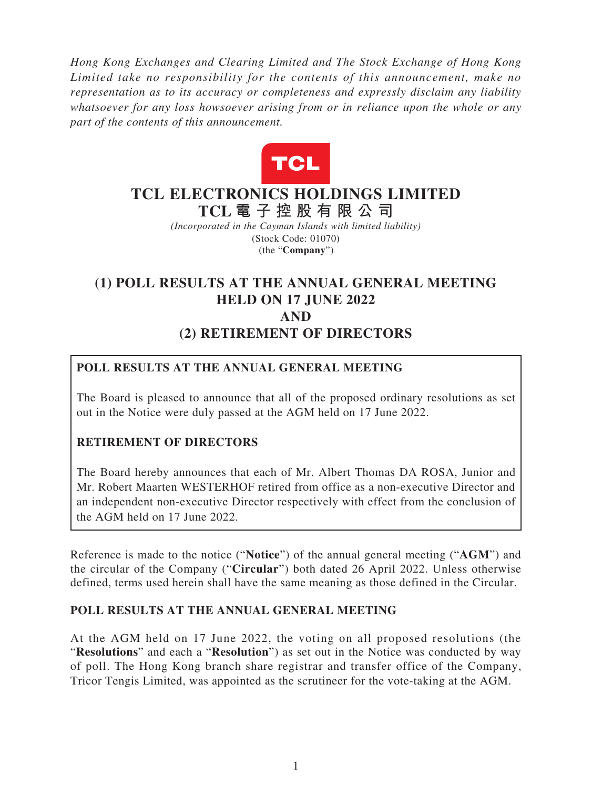*Hong Kong Exchanges and Clearing Limited and The Stock Exchange of Hong Kong Limited take no responsibility for the contents of this announcement, make no representation as to its accuracy or completeness and expressly disclaim any liability whatsoever for any loss howsoever arising from or in reliance upon the whole or any part of the contents of this announcement.*



## **TCL ELECTRONICS HOLDINGS LIMITED TCL 電子控股有限公 司**

*(Incorporated in the Cayman Islands with limited liability)* (Stock Code: 01070) (the "**Company**")

# **(1) POLL RESULTS AT THE ANNUAL GENERAL MEETING HELD ON 17 JUNE 2022 AND (2) RETIREMENT OF DIRECTORS**

### **POLL RESULTS AT THE ANNUAL GENERAL MEETING**

The Board is pleased to announce that all of the proposed ordinary resolutions as set out in the Notice were duly passed at the AGM held on 17 June 2022.

#### **RETIREMENT OF DIRECTORS**

The Board hereby announces that each of Mr. Albert Thomas DA ROSA, Junior and Mr. Robert Maarten WESTERHOF retired from office as a non-executive Director and an independent non-executive Director respectively with effect from the conclusion of the AGM held on 17 June 2022.

Reference is made to the notice ("**Notice**") of the annual general meeting ("**AGM**") and the circular of the Company ("**Circular**") both dated 26 April 2022. Unless otherwise defined, terms used herein shall have the same meaning as those defined in the Circular.

#### **POLL RESULTS AT THE ANNUAL GENERAL MEETING**

At the AGM held on 17 June 2022, the voting on all proposed resolutions (the "**Resolutions**" and each a "**Resolution**") as set out in the Notice was conducted by way of poll. The Hong Kong branch share registrar and transfer office of the Company, Tricor Tengis Limited, was appointed as the scrutineer for the vote-taking at the AGM.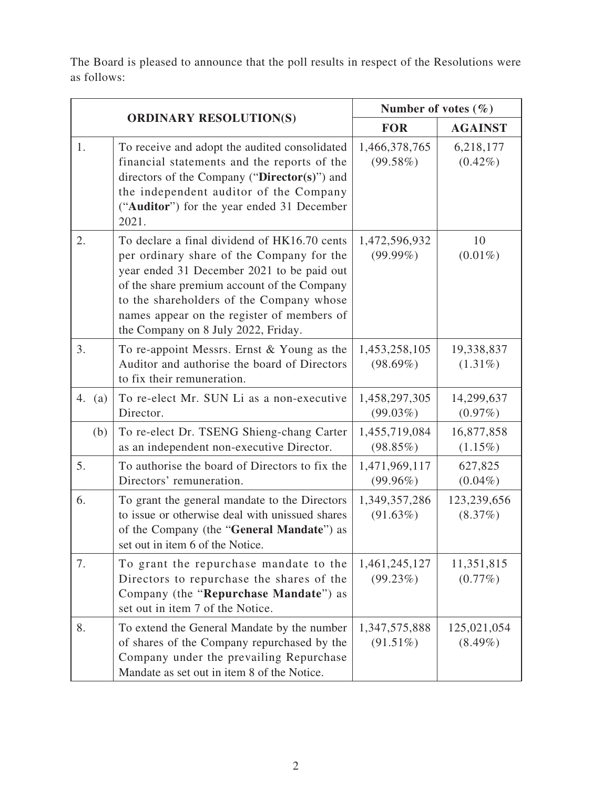The Board is pleased to announce that the poll results in respect of the Resolutions were as follows:

| <b>ORDINARY RESOLUTION(S)</b> |                                                                                                                                                                                                                                                                                                                         | Number of votes $(\% )$      |                           |
|-------------------------------|-------------------------------------------------------------------------------------------------------------------------------------------------------------------------------------------------------------------------------------------------------------------------------------------------------------------------|------------------------------|---------------------------|
|                               |                                                                                                                                                                                                                                                                                                                         | <b>FOR</b>                   | <b>AGAINST</b>            |
| 1.                            | To receive and adopt the audited consolidated<br>financial statements and the reports of the<br>directors of the Company ("Director(s)") and<br>the independent auditor of the Company<br>("Auditor") for the year ended 31 December<br>2021.                                                                           | 1,466,378,765<br>$(99.58\%)$ | 6,218,177<br>$(0.42\%)$   |
| 2.                            | To declare a final dividend of HK16.70 cents<br>per ordinary share of the Company for the<br>year ended 31 December 2021 to be paid out<br>of the share premium account of the Company<br>to the shareholders of the Company whose<br>names appear on the register of members of<br>the Company on 8 July 2022, Friday. | 1,472,596,932<br>$(99.99\%)$ | 10<br>$(0.01\%)$          |
| 3.                            | To re-appoint Messrs. Ernst & Young as the<br>Auditor and authorise the board of Directors<br>to fix their remuneration.                                                                                                                                                                                                | 1,453,258,105<br>$(98.69\%)$ | 19,338,837<br>$(1.31\%)$  |
| 4.<br>(a)                     | To re-elect Mr. SUN Li as a non-executive<br>Director.                                                                                                                                                                                                                                                                  | 1,458,297,305<br>$(99.03\%)$ | 14,299,637<br>$(0.97\%)$  |
| (b)                           | To re-elect Dr. TSENG Shieng-chang Carter<br>as an independent non-executive Director.                                                                                                                                                                                                                                  | 1,455,719,084<br>(98.85%)    | 16,877,858<br>$(1.15\%)$  |
| 5.                            | To authorise the board of Directors to fix the<br>Directors' remuneration.                                                                                                                                                                                                                                              | 1,471,969,117<br>$(99.96\%)$ | 627,825<br>$(0.04\%)$     |
| 6.                            | To grant the general mandate to the Directors<br>to issue or otherwise deal with unissued shares<br>of the Company (the "General Mandate") as<br>set out in item 6 of the Notice.                                                                                                                                       | 1,349,357,286<br>$(91.63\%)$ | 123,239,656<br>(8.37%)    |
| 7.                            | To grant the repurchase mandate to the<br>Directors to repurchase the shares of the<br>Company (the "Repurchase Mandate") as<br>set out in item 7 of the Notice.                                                                                                                                                        | 1,461,245,127<br>$(99.23\%)$ | 11,351,815<br>$(0.77\%)$  |
| 8.                            | To extend the General Mandate by the number<br>of shares of the Company repurchased by the<br>Company under the prevailing Repurchase<br>Mandate as set out in item 8 of the Notice.                                                                                                                                    | 1,347,575,888<br>$(91.51\%)$ | 125,021,054<br>$(8.49\%)$ |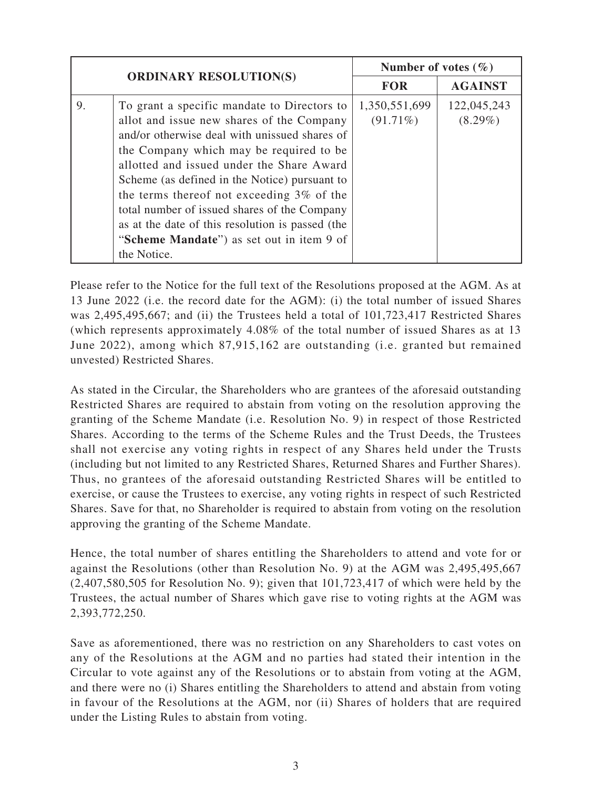| <b>ORDINARY RESOLUTION(S)</b> |                                                                                                                                                                                                                                                                                                                                                                                                                                                                                                 | Number of votes $(\% )$      |                           |
|-------------------------------|-------------------------------------------------------------------------------------------------------------------------------------------------------------------------------------------------------------------------------------------------------------------------------------------------------------------------------------------------------------------------------------------------------------------------------------------------------------------------------------------------|------------------------------|---------------------------|
|                               |                                                                                                                                                                                                                                                                                                                                                                                                                                                                                                 | <b>FOR</b>                   | <b>AGAINST</b>            |
| 9.                            | To grant a specific mandate to Directors to<br>allot and issue new shares of the Company<br>and/or otherwise deal with unissued shares of<br>the Company which may be required to be<br>allotted and issued under the Share Award<br>Scheme (as defined in the Notice) pursuant to<br>the terms thereof not exceeding 3% of the<br>total number of issued shares of the Company<br>as at the date of this resolution is passed (the<br>"Scheme Mandate") as set out in item 9 of<br>the Notice. | 1,350,551,699<br>$(91.71\%)$ | 122,045,243<br>$(8.29\%)$ |

Please refer to the Notice for the full text of the Resolutions proposed at the AGM. As at 13 June 2022 (i.e. the record date for the AGM): (i) the total number of issued Shares was 2,495,495,667; and (ii) the Trustees held a total of 101,723,417 Restricted Shares (which represents approximately 4.08% of the total number of issued Shares as at 13 June 2022), among which 87,915,162 are outstanding (i.e. granted but remained unvested) Restricted Shares.

As stated in the Circular, the Shareholders who are grantees of the aforesaid outstanding Restricted Shares are required to abstain from voting on the resolution approving the granting of the Scheme Mandate (i.e. Resolution No. 9) in respect of those Restricted Shares. According to the terms of the Scheme Rules and the Trust Deeds, the Trustees shall not exercise any voting rights in respect of any Shares held under the Trusts (including but not limited to any Restricted Shares, Returned Shares and Further Shares). Thus, no grantees of the aforesaid outstanding Restricted Shares will be entitled to exercise, or cause the Trustees to exercise, any voting rights in respect of such Restricted Shares. Save for that, no Shareholder is required to abstain from voting on the resolution approving the granting of the Scheme Mandate.

Hence, the total number of shares entitling the Shareholders to attend and vote for or against the Resolutions (other than Resolution No. 9) at the AGM was 2,495,495,667 (2,407,580,505 for Resolution No. 9); given that 101,723,417 of which were held by the Trustees, the actual number of Shares which gave rise to voting rights at the AGM was 2,393,772,250.

Save as aforementioned, there was no restriction on any Shareholders to cast votes on any of the Resolutions at the AGM and no parties had stated their intention in the Circular to vote against any of the Resolutions or to abstain from voting at the AGM, and there were no (i) Shares entitling the Shareholders to attend and abstain from voting in favour of the Resolutions at the AGM, nor (ii) Shares of holders that are required under the Listing Rules to abstain from voting.